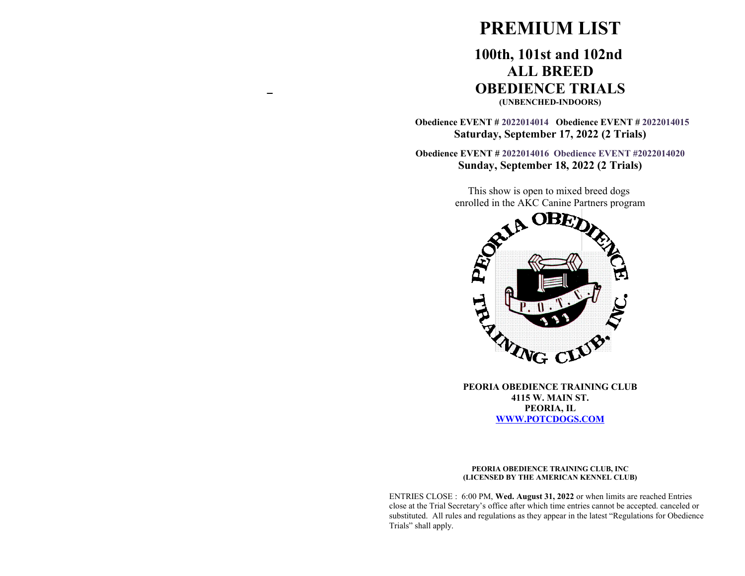# **PREMIUM LIST**

## **100th, 101st and 102nd ALL BREED OBEDIENCE TRIALS (UNBENCHED-INDOORS)**

 **Obedience EVENT # 2022014014 Obedience EVENT # 2022014015 Saturday, September 17, 2022 (2 Trials)**

**Obedience EVENT # 2022014016 Obedience EVENT #2022014020 Sunday, September 18, 2022 (2 Trials)**

> This show is open to mixed breed dogs enrolled in the AKC Canine Partners program



**PEORIA OBEDIENCE TRAINING CLUB 4115 W. MAIN ST. PEORIA, IL [WWW.POTCDOGS.COM](http://WWW.POTCDOGS.COM/)**

#### **PEORIA OBEDIENCE TRAINING CLUB, INC (LICENSED BY THE AMERICAN KENNEL CLUB)**

ENTRIES CLOSE : 6:00 PM, **Wed. August 31, 2022** or when limits are reached Entries close at the Trial Secretary's office after which time entries cannot be accepted. canceled or substituted. All rules and regulations as they appear in the latest "Regulations for Obedience Trials" shall apply.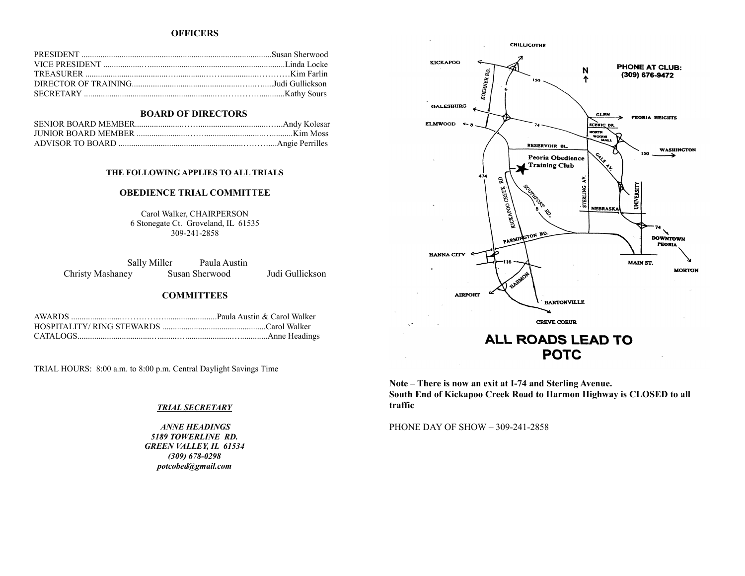#### **OFFICERS**

#### **BOARD OF DIRECTORS**

#### **THE FOLLOWING APPLIES TO ALL TRIALS**

#### **OBEDIENCE TRIAL COMMITTEE**

Carol Walker, CHAIRPERSON 6 Stonegate Ct. Groveland, IL 61535 309-241-2858

Sally Miller Paula Austin Christy Mashaney Susan Sherwood Judi Gullickson

#### **COMMITTEES**

TRIAL HOURS: 8:00 a.m. to 8:00 p.m. Central Daylight Savings Time

#### *TRIAL SECRETARY*

 *ANNE HEADINGS 5189 TOWERLINE RD. GREEN VALLEY, IL 61534 (309) 678-0298 potcobed@gmail.com*



**Note – There is now an exit at I-74 and Sterling Avenue. South End of Kickapoo Creek Road to Harmon Highway is CLOSED to all traffic**

PHONE DAY OF SHOW – 309-241-2858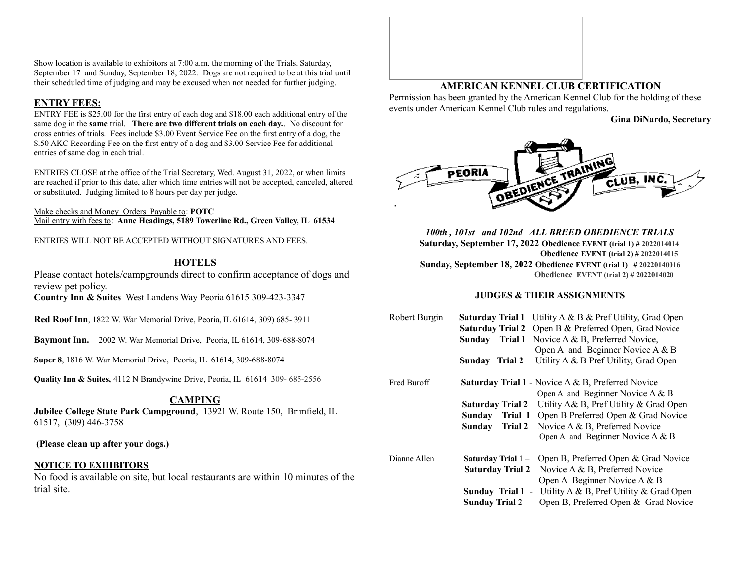Show location is available to exhibitors at 7:00 a.m. the morning of the Trials. Saturday, September 17 and Sunday, September 18, 2022. Dogs are not required to be at this trial until their scheduled time of judging and may be excused when not needed for further judging.

#### **ENTRY FEES:**

ENTRY FEE is \$25.00 for the first entry of each dog and \$18.00 each additional entry of the same dog in the **same** trial. **There are two different trials on each day.**. No discount for cross entries of trials. Fees include \$3.00 Event Service Fee on the first entry of a dog, the \$.50 AKC Recording Fee on the first entry of a dog and \$3.00 Service Fee for additional entries of same dog in each trial.

ENTRIES CLOSE at the office of the Trial Secretary, Wed. August 31, 2022, or when limits are reached if prior to this date, after which time entries will not be accepted, canceled, altered or substituted. Judging limited to 8 hours per day per judge.

Make checks and Money Orders Payable to: **POTC** Mail entry with fees to: **Anne Headings, 5189 Towerline Rd., Green Valley, IL 61534**

ENTRIES WILL NOT BE ACCEPTED WITHOUT SIGNATURES AND FEES.

### **HOTELS**

Please contact hotels/campgrounds direct to confirm acceptance of dogs and review pet policy.

**Country Inn & Suites** West Landens Way Peoria 61615 309-423-3347

**Red Roof Inn**, 1822 W. War Memorial Drive, Peoria, IL 61614, 309) 685- 3911

**Baymont Inn.** 2002 W. War Memorial Drive, Peoria, IL 61614, 309-688-8074

**Super 8**, 1816 W. War Memorial Drive, Peoria, IL 61614, 309-688-8074

**Quality Inn & Suites,** 4112 N Brandywine Drive, Peoria, IL 61614 309- 685-2556

### **CAMPING**

**Jubilee College State Park Campground**, 13921 W. Route 150, Brimfield, IL 61517, (309) 446-3758

 **(Please clean up after your dogs.)**

#### **NOTICE TO EXHIBITORS**

No food is available on site, but local restaurants are within 10 minutes of the trial site.

## **AMERICAN KENNEL CLUB CERTIFICATION**

Permission has been granted by the American Kennel Club for the holding of these events under American Kennel Club rules and regulations.

**Gina DiNardo, Secretary**



*100th , 101st and 102nd ALL BREED OBEDIENCE TRIALS* **Saturday, September 17, 2022 Obedience EVENT (trial 1) # 2022014014 Obedience EVENT (trial 2) # 2022014015 Sunday, September 18, 2022 Obedience EVENT (trial 1) # 20220140016 Obedience EVENT (trial 2) # 2022014020**

#### **JUDGES & THEIR ASSIGNMENTS**

| Robert Burgin | <b>Saturday Trial 1– Utility A &amp; B &amp; Pref Utility, Grad Open</b> |                                                                  |  |
|---------------|--------------------------------------------------------------------------|------------------------------------------------------------------|--|
|               | <b>Saturday Trial 2</b> - Open B & Preferred Open, Grad Novice           |                                                                  |  |
|               | Sunday                                                                   | <b>Trial 1</b> Novice A & B, Preferred Novice,                   |  |
|               |                                                                          | Open A and Beginner Novice A & B                                 |  |
|               | Sunday Trial 2                                                           | Utility A & B Pref Utility, Grad Open                            |  |
| Fred Buroff   |                                                                          | <b>Saturday Trial 1</b> - Novice $A \& B$ , Preferred Novice     |  |
|               |                                                                          | Open A and Beginner Novice $A \& B$                              |  |
|               |                                                                          | <b>Saturday Trial 2</b> – Utility A& B, Pref Utility & Grad Open |  |
|               | Sunday                                                                   | Trial 1 Open B Preferred Open & Grad Novice                      |  |
|               | Sunday                                                                   | Trial 2 Novice A & B, Preferred Novice                           |  |
|               |                                                                          | Open A and Beginner Novice A & B                                 |  |
| Dianne Allen  | <b>Saturday Trial 1 –</b>                                                | Open B, Preferred Open & Grad Novice                             |  |
|               | <b>Saturday Trial 2</b>                                                  | Novice A & B, Preferred Novice                                   |  |
|               |                                                                          | Open A Beginner Novice A & B                                     |  |
|               | Sunday Trial 1-                                                          | Utility A & B, Pref Utility & Grad Open                          |  |
|               | <b>Sunday Trial 2</b>                                                    | Open B, Preferred Open & Grad Novice                             |  |